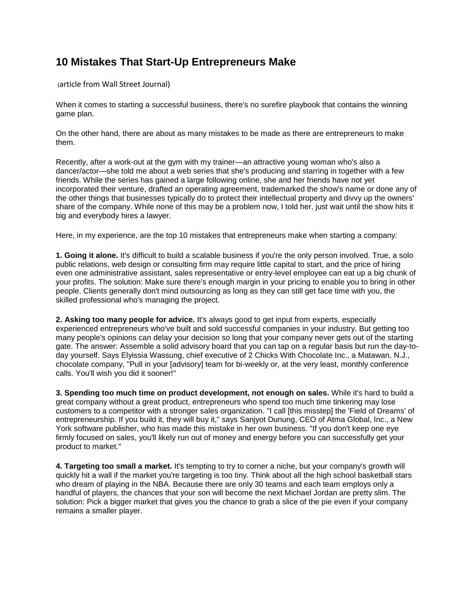## **10 Mistakes That Start-Up Entrepreneurs Make**

(article from Wall Street Journal)

When it comes to starting a successful business, there's no surefire playbook that contains the winning game plan.

On the other hand, there are about as many mistakes to be made as there are entrepreneurs to make them.

Recently, after a work-out at the gym with my trainer—an attractive young woman who's also a dancer/actor—she told me about a web series that she's producing and starring in together with a few friends. While the series has gained a large following online, she and her friends have not yet incorporated their venture, drafted an operating agreement, trademarked the show's name or done any of the other things that businesses typically do to protect their intellectual property and divvy up the owners' share of the company. While none of this may be a problem now, I told her, just wait until the show hits it big and everybody hires a lawyer.

Here, in my experience, are the top 10 mistakes that entrepreneurs make when starting a company:

**1. Going it alone.** It's difficult to build a scalable business if you're the only person involved. True, a solo public relations, web design or consulting firm may require little capital to start, and the price of hiring even one administrative assistant, sales representative or entry-level employee can eat up a big chunk of your profits. The solution: Make sure there's enough margin in your pricing to enable you to bring in other people. Clients generally don't mind outsourcing as long as they can still get face time with you, the skilled professional who's managing the project.

**2. Asking too many people for advice.** It's always good to get input from experts, especially experienced entrepreneurs who've built and sold successful companies in your industry. But getting too many people's opinions can delay your decision so long that your company never gets out of the starting gate. The answer: Assemble a solid advisory board that you can tap on a regular basis but run the day-today yourself. Says Elyissia Wassung, chief executive of 2 Chicks With Chocolate Inc., a Matawan, N.J., chocolate company, "Pull in your [advisory] team for bi-weekly or, at the very least, monthly conference calls. You'll wish you did it sooner!"

**3. Spending too much time on product development, not enough on sales.** While it's hard to build a great company without a great product, entrepreneurs who spend too much time tinkering may lose customers to a competitor with a stronger sales organization. "I call [this misstep] the 'Field of Dreams' of entrepreneurship. If you build it, they will buy it," says Sanjyot Dunung, CEO of Atma Global, Inc., a New York software publisher, who has made this mistake in her own business. "If you don't keep one eye firmly focused on sales, you'll likely run out of money and energy before you can successfully get your product to market."

**4. Targeting too small a market.** It's tempting to try to corner a niche, but your company's growth will quickly hit a wall if the market you're targeting is too tiny. Think about all the high school basketball stars who dream of playing in the NBA. Because there are only 30 teams and each team employs only a handful of players, the chances that your son will become the next Michael Jordan are pretty slim. The solution: Pick a bigger market that gives you the chance to grab a slice of the pie even if your company remains a smaller player.